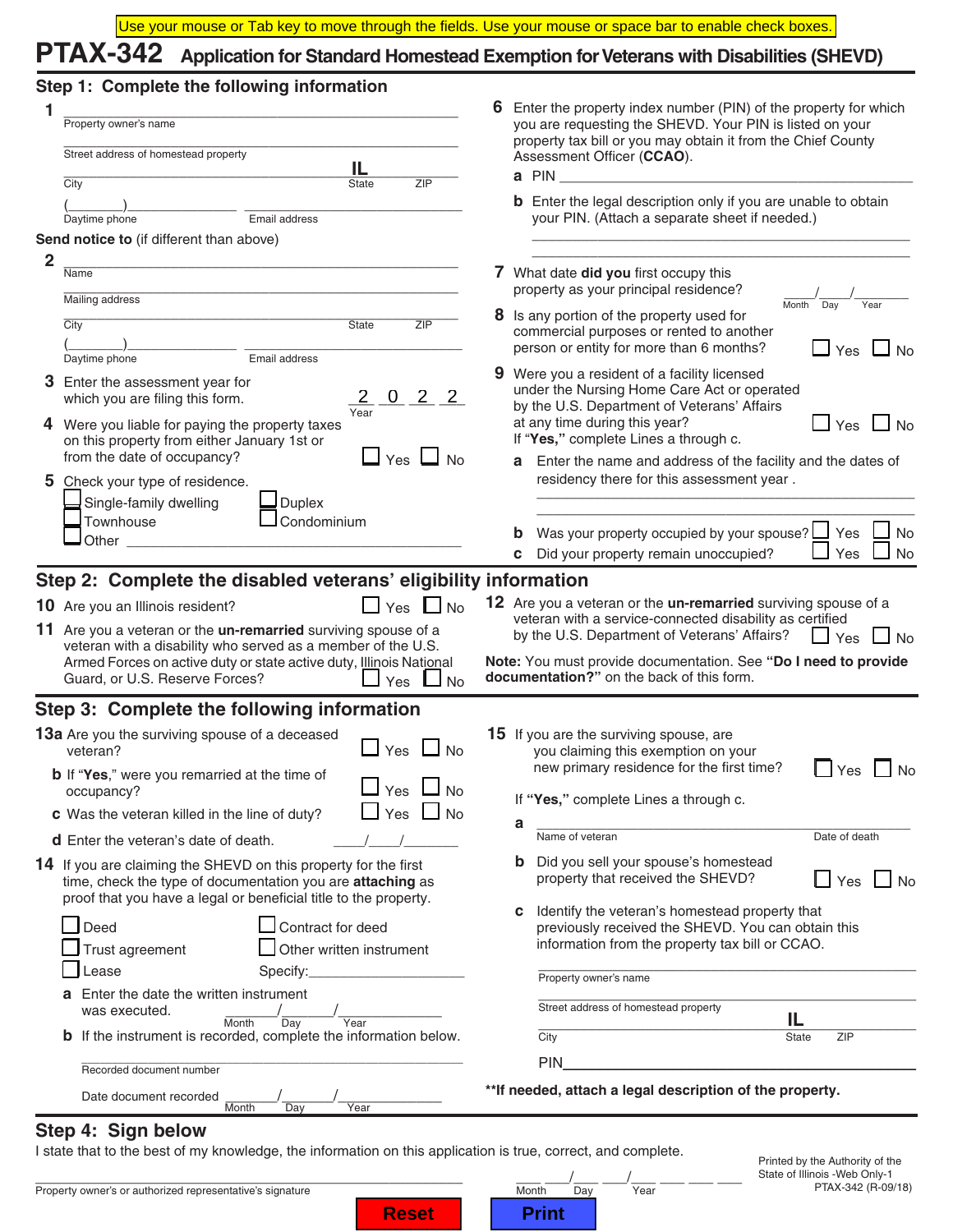# **PTAX-342 Application for Standard Homestead Exemption for Veterans with Disabilities (SHEVD)**

## **Step 1: Complete the following information**

| 1<br>Property owner's name                                                                                                                                                                                                                                                                                                                                                                                                                                                                                                                                                                                                                                                                                       | Enter the property index number (PIN) of the property for which<br>you are requesting the SHEVD. Your PIN is listed on your                                                                                                                                                                                                                                                                                                                                                                                                                                                                                                                                                                                                                                                                                                                      |  |
|------------------------------------------------------------------------------------------------------------------------------------------------------------------------------------------------------------------------------------------------------------------------------------------------------------------------------------------------------------------------------------------------------------------------------------------------------------------------------------------------------------------------------------------------------------------------------------------------------------------------------------------------------------------------------------------------------------------|--------------------------------------------------------------------------------------------------------------------------------------------------------------------------------------------------------------------------------------------------------------------------------------------------------------------------------------------------------------------------------------------------------------------------------------------------------------------------------------------------------------------------------------------------------------------------------------------------------------------------------------------------------------------------------------------------------------------------------------------------------------------------------------------------------------------------------------------------|--|
| Street address of homestead property<br>IL                                                                                                                                                                                                                                                                                                                                                                                                                                                                                                                                                                                                                                                                       | property tax bill or you may obtain it from the Chief County<br>Assessment Officer (CCAO).<br>a PIN                                                                                                                                                                                                                                                                                                                                                                                                                                                                                                                                                                                                                                                                                                                                              |  |
| City<br><b>ZIP</b><br><b>State</b><br>Daytime phone<br>Email address<br>Send notice to (if different than above)                                                                                                                                                                                                                                                                                                                                                                                                                                                                                                                                                                                                 | <b>b</b> Enter the legal description only if you are unable to obtain<br>your PIN. (Attach a separate sheet if needed.)                                                                                                                                                                                                                                                                                                                                                                                                                                                                                                                                                                                                                                                                                                                          |  |
| $\overline{2}$<br>Name<br>Mailing address<br>City<br><b>State</b><br>ZIP<br>Email address<br>Daytime phone<br>3 Enter the assessment year for<br>$2 \quad 0 \quad$<br>2 <sub>2</sub><br>which you are filing this form.<br>Year<br>4 Were you liable for paying the property taxes<br>on this property from either January 1st or<br>from the date of occupancy?<br>Yes I<br>No<br>5 Check your type of residence.<br>Single-family dwelling<br><b>Duplex</b><br>Condominium<br>Townhouse<br>Other<br>Step 2: Complete the disabled veterans' eligibility information                                                                                                                                            | 7 What date did you first occupy this<br>property as your principal residence?<br>Month<br>Day<br>Year<br>8 Is any portion of the property used for<br>commercial purposes or rented to another<br>person or entity for more than 6 months?<br>$\Box$ Yes $\Box$ No<br>9<br>Were you a resident of a facility licensed<br>under the Nursing Home Care Act or operated<br>by the U.S. Department of Veterans' Affairs<br>at any time during this year?<br>$\Box$ No<br>$\sqcup$ Yes<br>If "Yes," complete Lines a through c.<br>Enter the name and address of the facility and the dates of<br>a<br>residency there for this assessment year.<br>Was your property occupied by your spouse? $\Box$ Yes<br>No<br>Did your property remain unoccupied?<br>$\Box$ Yes<br>J No<br>C<br>12 Are you a veteran or the un-remarried surviving spouse of a |  |
| 10 Are you an Illinois resident?<br>$\Box$ Yes<br>l No<br>11 Are you a veteran or the <b>un-remarried</b> surviving spouse of a<br>veteran with a disability who served as a member of the U.S.<br>Armed Forces on active duty or state active duty, Illinois National<br>Guard, or U.S. Reserve Forces?<br>Yes<br><b>No</b>                                                                                                                                                                                                                                                                                                                                                                                     | veteran with a service-connected disability as certified<br>by the U.S. Department of Veterans' Affairs?<br>$\mathsf{l}$ $\mathsf{l}$ $\mathsf{y}_{\mathsf{es}}$<br>J No<br>Note: You must provide documentation. See "Do I need to provide<br>documentation?" on the back of this form.                                                                                                                                                                                                                                                                                                                                                                                                                                                                                                                                                         |  |
| Step 3: Complete the following information<br>13a Are you the surviving spouse of a deceased<br>$\Box$ Yes<br>veteran?<br><b>No</b><br><b>b</b> If "Yes," were you remarried at the time of<br>$\vert$ Yes $\vert$<br>occupancy?<br>Yes $\Box$ No<br><b>c</b> Was the veteran killed in the line of duty?<br><b>d</b> Enter the veteran's date of death.<br><b>14</b> If you are claiming the SHEVD on this property for the first<br>time, check the type of documentation you are attaching as<br>proof that you have a legal or beneficial title to the property.<br>Deed<br>Contract for deed<br>Trust agreement<br>Other written instrument<br>Lease<br>Specify:<br><u> 1989 - Johann Barbara, martin a</u> | <b>15</b> If you are the surviving spouse, are<br>you claiming this exemption on your<br>new primary residence for the first time?<br><b>No</b><br>Yes<br>If "Yes," complete Lines a through c.<br>а<br>Name of veteran<br>Date of death<br>Did you sell your spouse's homestead<br>b<br>property that received the SHEVD?<br>$\Box$ Yes<br>$\mathsf{I}$ $\mathsf{No}$<br>Identify the veteran's homestead property that<br>с<br>previously received the SHEVD. You can obtain this<br>information from the property tax bill or CCAO.<br>Property owner's name                                                                                                                                                                                                                                                                                  |  |
| Enter the date the written instrument<br>was executed.<br>Month<br>Day<br>Year<br><b>b</b> If the instrument is recorded, complete the information below.<br>Recorded document number<br>Date document recorded<br>Month<br>Year<br>Day                                                                                                                                                                                                                                                                                                                                                                                                                                                                          | Street address of homestead property<br>IL<br><b>State</b><br>ZIP<br>City<br><b>PIN</b><br>** If needed, attach a legal description of the property.                                                                                                                                                                                                                                                                                                                                                                                                                                                                                                                                                                                                                                                                                             |  |

## **Step 4: Sign below**

I state that to the best of my knowledge, the information on this application is true, correct, and complete.

\_\_\_\_\_\_\_\_\_\_\_\_\_\_\_\_\_\_\_\_\_\_\_\_\_\_\_\_\_\_\_\_\_\_\_\_\_\_\_\_\_\_\_\_\_\_\_\_\_\_\_\_ \_\_\_ \_\_\_/\_\_\_ \_\_\_/\_\_\_ \_\_\_ \_\_\_ \_\_\_

**Reset | Print** 

Property owner's or authorized representative's signature Month Day Nonth Day Year